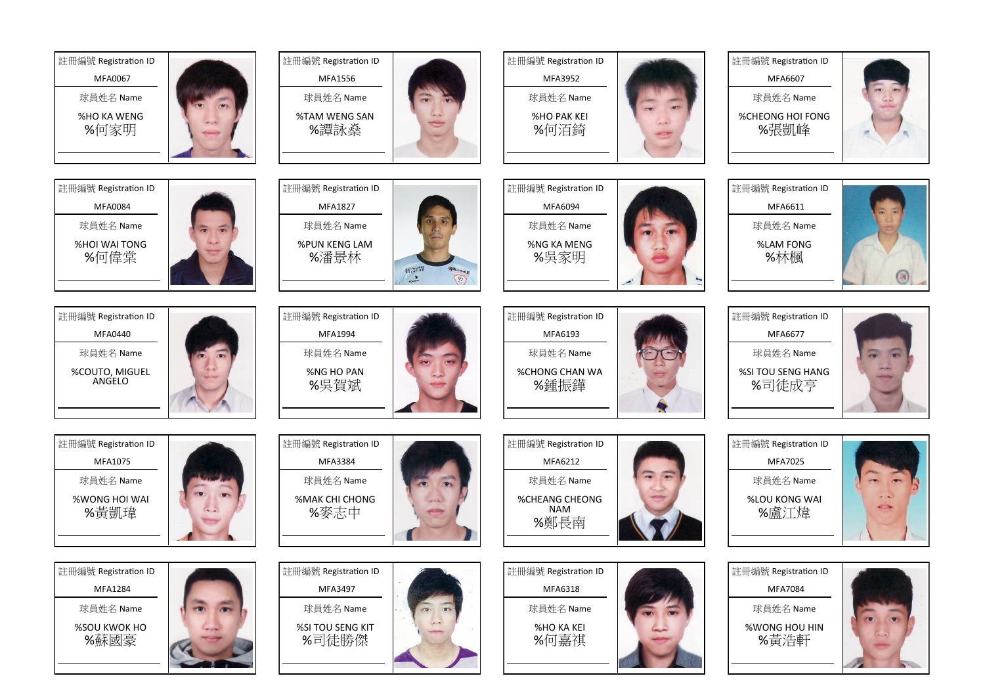